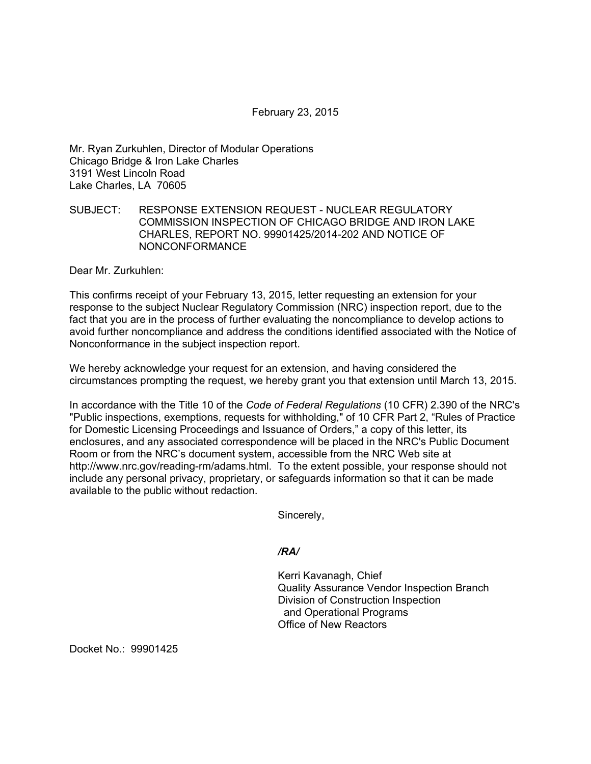February 23, 2015

Mr. Ryan Zurkuhlen, Director of Modular Operations Chicago Bridge & Iron Lake Charles 3191 West Lincoln Road Lake Charles, LA 70605

## SUBJECT: RESPONSE EXTENSION REQUEST - NUCLEAR REGULATORY COMMISSION INSPECTION OF CHICAGO BRIDGE AND IRON LAKE CHARLES, REPORT NO. 99901425/2014-202 AND NOTICE OF NONCONFORMANCE

Dear Mr. Zurkuhlen:

This confirms receipt of your February 13, 2015, letter requesting an extension for your response to the subject Nuclear Regulatory Commission (NRC) inspection report, due to the fact that you are in the process of further evaluating the noncompliance to develop actions to avoid further noncompliance and address the conditions identified associated with the Notice of Nonconformance in the subject inspection report.

We hereby acknowledge your request for an extension, and having considered the circumstances prompting the request, we hereby grant you that extension until March 13, 2015.

In accordance with the Title 10 of the *Code of Federal Regulations* (10 CFR) 2.390 of the NRC's "Public inspections, exemptions, requests for withholding," of 10 CFR Part 2, "Rules of Practice for Domestic Licensing Proceedings and Issuance of Orders," a copy of this letter, its enclosures, and any associated correspondence will be placed in the NRC's Public Document Room or from the NRC's document system, accessible from the NRC Web site at http://www.nrc.gov/reading-rm/adams.html. To the extent possible, your response should not include any personal privacy, proprietary, or safeguards information so that it can be made available to the public without redaction.

Sincerely,

*/RA/* 

Kerri Kavanagh, Chief Quality Assurance Vendor Inspection Branch Division of Construction Inspection and Operational Programs Office of New Reactors

Docket No.: 99901425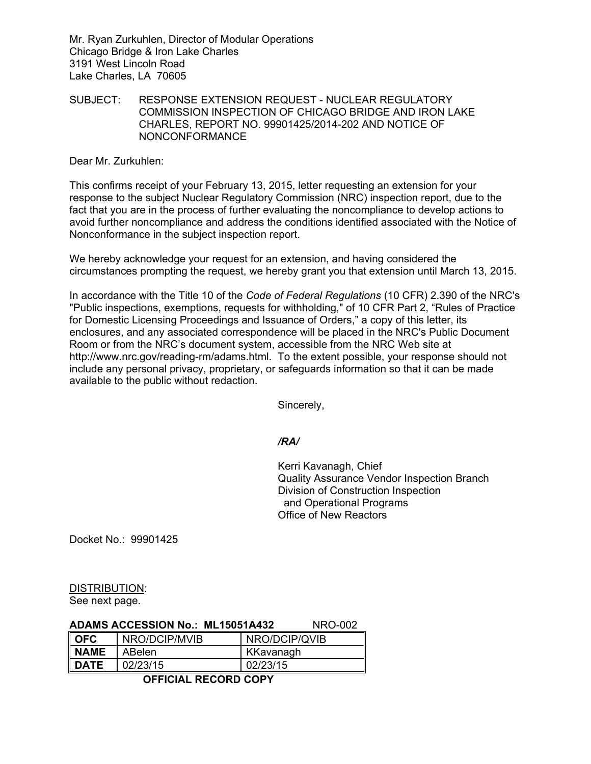Mr. Ryan Zurkuhlen, Director of Modular Operations Chicago Bridge & Iron Lake Charles 3191 West Lincoln Road Lake Charles, LA 70605

SUBJECT: RESPONSE EXTENSION REQUEST - NUCLEAR REGULATORY COMMISSION INSPECTION OF CHICAGO BRIDGE AND IRON LAKE CHARLES, REPORT NO. 99901425/2014-202 AND NOTICE OF NONCONFORMANCE

Dear Mr. Zurkuhlen:

This confirms receipt of your February 13, 2015, letter requesting an extension for your response to the subject Nuclear Regulatory Commission (NRC) inspection report, due to the fact that you are in the process of further evaluating the noncompliance to develop actions to avoid further noncompliance and address the conditions identified associated with the Notice of Nonconformance in the subject inspection report.

We hereby acknowledge your request for an extension, and having considered the circumstances prompting the request, we hereby grant you that extension until March 13, 2015.

In accordance with the Title 10 of the *Code of Federal Regulations* (10 CFR) 2.390 of the NRC's "Public inspections, exemptions, requests for withholding," of 10 CFR Part 2, "Rules of Practice for Domestic Licensing Proceedings and Issuance of Orders," a copy of this letter, its enclosures, and any associated correspondence will be placed in the NRC's Public Document Room or from the NRC's document system, accessible from the NRC Web site at http://www.nrc.gov/reading-rm/adams.html. To the extent possible, your response should not include any personal privacy, proprietary, or safeguards information so that it can be made available to the public without redaction.

Sincerely,

## */RA/*

Kerri Kavanagh, Chief Quality Assurance Vendor Inspection Branch Division of Construction Inspection and Operational Programs Office of New Reactors

Docket No.: 99901425

DISTRIBUTION: See next page.

## **ADAMS ACCESSION No.: ML15051A432** NRO-002

| <b>OFC</b>  | NRO/DCIP/MVIB | NRO/DCIP/QVIB |
|-------------|---------------|---------------|
| <b>NAME</b> | ABelen        | KKavanagh     |
| <b>DATE</b> | 02/23/15      | 02/23/15      |

 **OFFICIAL RECORD COPY**